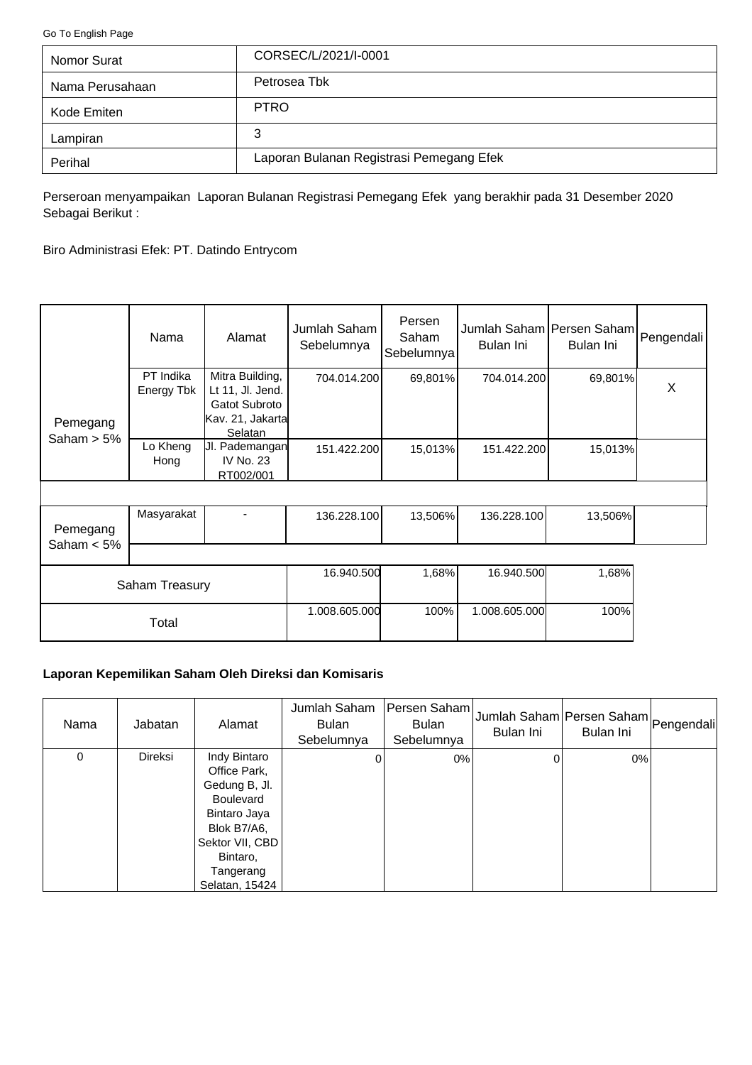<span id="page-0-0"></span>[Go To English Page](#page-2-0)

| Nomor Surat     | CORSEC/L/2021/I-0001                     |
|-----------------|------------------------------------------|
| Nama Perusahaan | Petrosea Tbk                             |
| Kode Emiten     | <b>PTRO</b>                              |
| Lampiran        | 3                                        |
| Perihal         | Laporan Bulanan Registrasi Pemegang Efek |

Perseroan menyampaikan Laporan Bulanan Registrasi Pemegang Efek yang berakhir pada 31 Desember 2020 Sebagai Berikut :

Biro Administrasi Efek: PT. Datindo Entrycom

|                           | Nama                    | Alamat                                                                              | Jumlah Saham<br>Sebelumnya | Persen<br>Saham<br>Sebelumnya | Jumlah Saham Persen Saham Pengendali<br>Bulan Ini | Bulan Ini |   |
|---------------------------|-------------------------|-------------------------------------------------------------------------------------|----------------------------|-------------------------------|---------------------------------------------------|-----------|---|
| Pemegang                  | PT Indika<br>Energy Tbk | Mitra Building,<br>Lt 11, Jl. Jend.<br>Gatot Subroto<br>Kav. 21, Jakarta<br>Selatan | 704.014.200                | 69,801%                       | 704.014.200                                       | 69,801%   | X |
| Saham $> 5\%$             | Lo Kheng<br>Hong        | UI. Pademangan<br>IV No. 23<br>RT002/001                                            | 151.422.200                | 15,013%                       | 151.422.200                                       | 15,013%   |   |
|                           |                         |                                                                                     |                            |                               |                                                   |           |   |
| Pemegang<br>Saham $< 5\%$ | Masyarakat              |                                                                                     | 136.228.100                | 13,506%                       | 136.228.100                                       | 13,506%   |   |
|                           |                         |                                                                                     |                            |                               |                                                   |           |   |
| Saham Treasury            |                         | 16.940.500                                                                          | 1,68%                      | 16.940.500                    | 1,68%                                             |           |   |
| Total                     |                         | 1.008.605.000                                                                       | 100%                       | 1.008.605.000                 | 100%                                              |           |   |

## **Laporan Kepemilikan Saham Oleh Direksi dan Komisaris**

| Nama | Jabatan | Alamat                                                                                                                                                  | Jumlah Saham<br><b>Bulan</b><br>Sebelumnya | Persen Saham<br><b>Bulan</b><br>Sebelumnya | Bulan Ini | Jumlah Saham Persen Saham Pengendali<br>Bulan Ini |  |
|------|---------|---------------------------------------------------------------------------------------------------------------------------------------------------------|--------------------------------------------|--------------------------------------------|-----------|---------------------------------------------------|--|
| 0    | Direksi | Indy Bintaro<br>Office Park,<br>Gedung B, Jl.<br>Boulevard<br>Bintaro Jaya<br>Blok B7/A6,<br>Sektor VII, CBD<br>Bintaro,<br>Tangerang<br>Selatan, 15424 | 0                                          | $0\%$                                      |           | 0%                                                |  |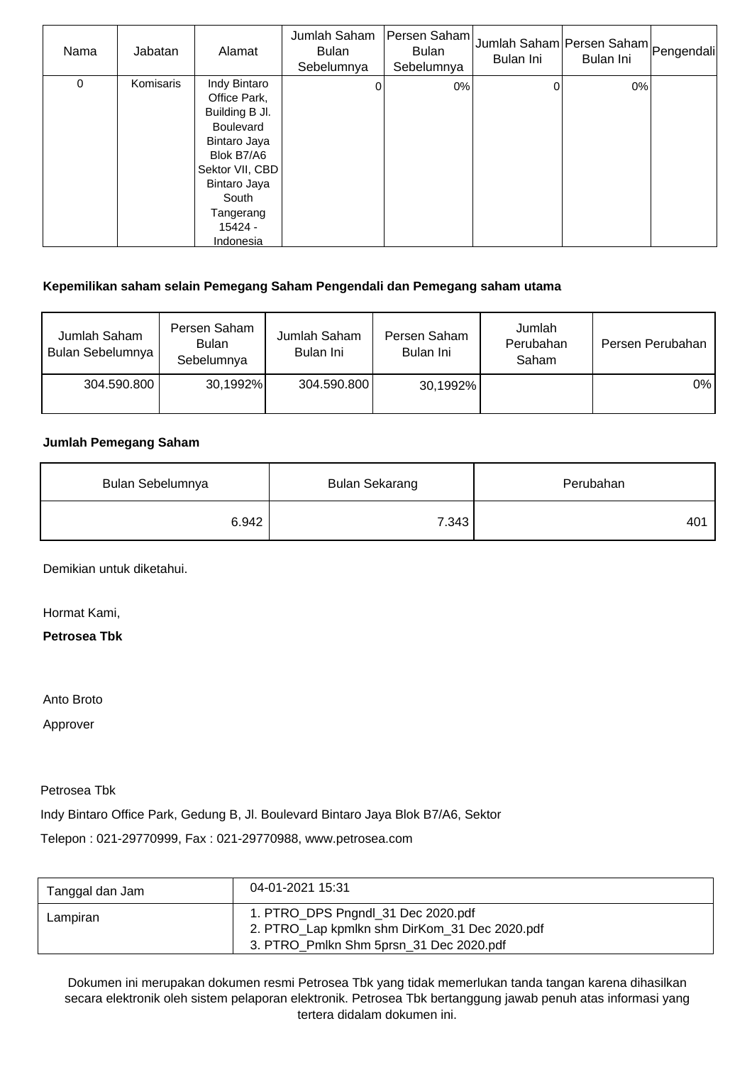| Nama | Jabatan   | Alamat                                                                                                                                                                              | Jumlah Saham<br><b>Bulan</b><br>Sebelumnya | Persen Saham<br><b>Bulan</b><br>Sebelumnya | <sub>I</sub> Jumlah Saham Persen Saham Pengendali<br>Bulan Ini | Bulan Ini |  |
|------|-----------|-------------------------------------------------------------------------------------------------------------------------------------------------------------------------------------|--------------------------------------------|--------------------------------------------|----------------------------------------------------------------|-----------|--|
| 0    | Komisaris | Indy Bintaro<br>Office Park,<br>Building B Jl.<br><b>Boulevard</b><br>Bintaro Jaya<br>Blok B7/A6<br>Sektor VII, CBD<br>Bintaro Jaya<br>South<br>Tangerang<br>$15424 -$<br>Indonesia | 0                                          | 0%                                         | ი                                                              | $0\%$     |  |

## **Kepemilikan saham selain Pemegang Saham Pengendali dan Pemegang saham utama**

| Jumlah Saham<br>Bulan Sebelumnya | Persen Saham<br><b>Bulan</b><br>Sebelumnya | Jumlah Saham<br>Bulan Ini | Persen Saham<br>Bulan Ini | Jumlah<br>Perubahan<br>Saham | Persen Perubahan |
|----------------------------------|--------------------------------------------|---------------------------|---------------------------|------------------------------|------------------|
| 304.590.800                      | 30,1992%                                   | 304.590.800               | 30,1992%                  |                              | $0\%$            |

### **Jumlah Pemegang Saham**

| Bulan Sebelumnya | <b>Bulan Sekarang</b> | Perubahan |
|------------------|-----------------------|-----------|
| 6.942            | 7.343                 | 401       |

Demikian untuk diketahui.

Hormat Kami,

**Petrosea Tbk**

Anto Broto

Approver

Petrosea Tbk

Indy Bintaro Office Park, Gedung B, Jl. Boulevard Bintaro Jaya Blok B7/A6, Sektor

Telepon : 021-29770999, Fax : 021-29770988, www.petrosea.com

| Tanggal dan Jam | 04-01-2021 15:31                                                                                                               |
|-----------------|--------------------------------------------------------------------------------------------------------------------------------|
| Lampiran        | 1. PTRO_DPS Pngndl_31 Dec 2020.pdf<br>2. PTRO_Lap kpmlkn shm DirKom_31 Dec 2020.pdf<br>3. PTRO Pmlkn Shm 5prsn 31 Dec 2020.pdf |

Dokumen ini merupakan dokumen resmi Petrosea Tbk yang tidak memerlukan tanda tangan karena dihasilkan secara elektronik oleh sistem pelaporan elektronik. Petrosea Tbk bertanggung jawab penuh atas informasi yang tertera didalam dokumen ini.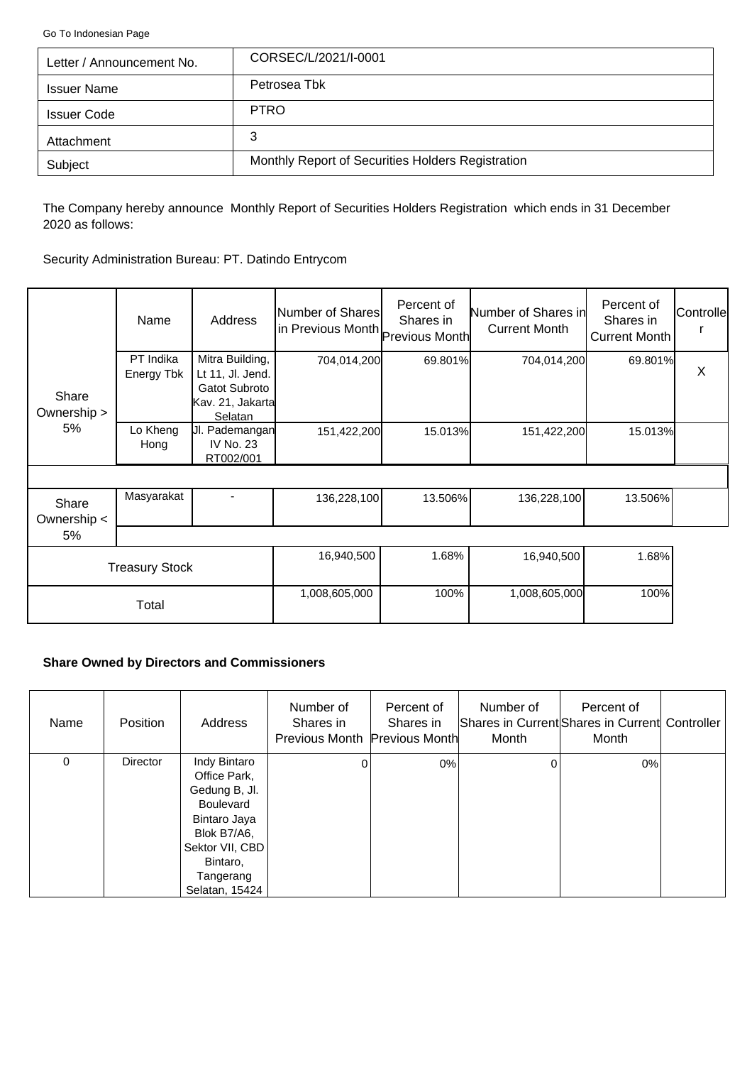<span id="page-2-0"></span>[Go To Indonesian Page](#page-0-0)

| Letter / Announcement No. | CORSEC/L/2021/I-0001                              |
|---------------------------|---------------------------------------------------|
| <b>Issuer Name</b>        | Petrosea Tbk                                      |
| <b>Issuer Code</b>        | <b>PTRO</b>                                       |
| Attachment                | 3                                                 |
| Subject                   | Monthly Report of Securities Holders Registration |

The Company hereby announce Monthly Report of Securities Holders Registration which ends in 31 December 2020 as follows:

Security Administration Bureau: PT. Datindo Entrycom

|                       | Name                    | Address                                                                             | Number of Shares<br>in Previous Month Previous Month | Percent of<br>Shares in | Number of Shares in<br><b>Current Month</b> | Percent of<br>Shares in<br><b>Current Month</b> | Controlle |
|-----------------------|-------------------------|-------------------------------------------------------------------------------------|------------------------------------------------------|-------------------------|---------------------------------------------|-------------------------------------------------|-----------|
| Share<br>Ownership >  | PT Indika<br>Energy Tbk | Mitra Building,<br>Lt 11, Jl. Jend.<br>Gatot Subroto<br>Kav. 21, Jakarta<br>Selatan | 704,014,200                                          | 69.801%                 | 704,014,200                                 | 69.801%                                         | X         |
| 5%                    | Lo Kheng<br>Hong        | JI. Pademangan<br>IV No. 23<br>RT002/001                                            | 151,422,200                                          | 15.013%                 | 151,422,200                                 | 15.013%                                         |           |
|                       |                         |                                                                                     |                                                      |                         |                                             |                                                 |           |
| Share<br>Ownership <  | Masyarakat              |                                                                                     | 136,228,100                                          | 13.506%                 | 136,228,100                                 | 13.506%                                         |           |
| 5%                    |                         |                                                                                     |                                                      |                         |                                             |                                                 |           |
| <b>Treasury Stock</b> |                         | 16,940,500                                                                          | 1.68%                                                | 16,940,500              | 1.68%                                       |                                                 |           |
| Total                 |                         | 1,008,605,000                                                                       | 100%                                                 | 1,008,605,000           | 100%                                        |                                                 |           |

# **Share Owned by Directors and Commissioners**

| Name | <b>Position</b> | Address                                                                                                                                                        | Number of<br>Shares in<br>Previous Month Previous Month | Percent of<br>Shares in | Number of<br>Month | Percent of<br>Shares in Current Shares in Current Controller<br>Month |  |
|------|-----------------|----------------------------------------------------------------------------------------------------------------------------------------------------------------|---------------------------------------------------------|-------------------------|--------------------|-----------------------------------------------------------------------|--|
| 0    | <b>Director</b> | Indy Bintaro<br>Office Park,<br>Gedung B, Jl.<br><b>Boulevard</b><br>Bintaro Jaya<br>Blok B7/A6,<br>Sektor VII, CBD<br>Bintaro,<br>Tangerang<br>Selatan, 15424 | $\Omega$                                                | $0\%$                   | 0                  | 0%                                                                    |  |